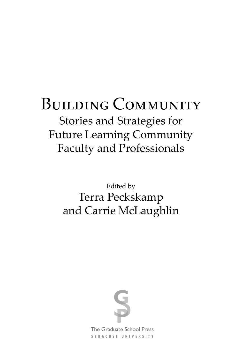# BUILDING COMMUNITY Stories and Strategies for Future Learning Community Faculty and Professionals

Edited by Terra Peckskamp and Carrie McLaughlin



**The Graduate School Press** SYRACUSE UNIVERSITY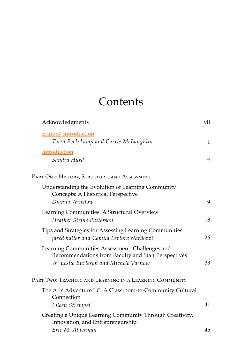# **Contents**

| Acknowledgments                                                                                                                                 | vii            |
|-------------------------------------------------------------------------------------------------------------------------------------------------|----------------|
| <b>Editors' Introduction</b><br>Terra Peckskamp and Carrie McLaughlin                                                                           | $\mathbf{1}$   |
| Introduction<br>Sandra Hurd                                                                                                                     | $\overline{4}$ |
| PART ONE: HISTORY, STRUCTURE, AND ASSESSMENT                                                                                                    |                |
| Understanding the Evolution of Learning Community<br>Concepts: A Historical Perspective<br>Dianna Winslow                                       | 9              |
| Learning Communities: A Structural Overview<br>Heather Strine Patterson                                                                         | 18             |
| Tips and Strategies for Assessing Learning Communities<br>jared halter and Camila Lértora Nardozzi                                              | 26             |
| Learning Communities Assessment: Challenges and<br>Recommendations from Faculty and Staff Perspectives<br>W. Leslie Burleson and Michele Tarnow | 33             |
| PART TWO: TEACHING AND LEARNING IN A LEARNING COMMUNITY                                                                                         |                |
| The Arts Adventure LC: A Classroom-to-Community Cultural<br>Connection                                                                          |                |
| Eileen Strempel                                                                                                                                 | 41             |
| Creating a Unique Learning Community Through Creativity,<br>Innovation, and Entrepreneurship<br>Eric M. Alderman                                | 45             |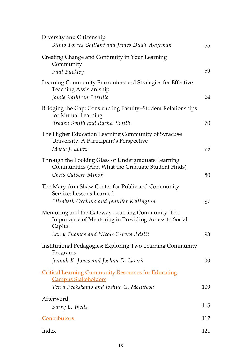| Diversity and Citizenship<br>Silvio Torres-Saillant and James Duah-Agyeman                                                                                     | 55  |
|----------------------------------------------------------------------------------------------------------------------------------------------------------------|-----|
| Creating Change and Continuity in Your Learning<br>Community<br>Paul Buckley                                                                                   | 59  |
| Learning Community Encounters and Strategies for Effective<br>Teaching Assistantship<br>Jamie Kathleen Portillo                                                | 64  |
| Bridging the Gap: Constructing Faculty-Student Relationships<br>for Mutual Learning<br>Braden Smith and Rachel Smith                                           | 70  |
| The Higher Education Learning Community of Syracuse<br>University: A Participant's Perspective<br>Maria J. Lopez                                               | 75  |
| Through the Looking Glass of Undergraduate Learning<br>Communities (And What the Graduate Student Finds)<br>Chris Calvert-Minor                                | 80  |
| The Mary Ann Shaw Center for Public and Community<br>Service: Lessons Learned<br>Elizabeth Occhino and Jennifer Kellington                                     | 87  |
| Mentoring and the Gateway Learning Community: The<br>Importance of Mentoring in Providing Access to Social<br>Capital<br>Larry Thomas and Nicole Zervas Adsitt | 93  |
| Institutional Pedagogies: Exploring Two Learning Community<br>Programs<br>Jennah K. Jones and Joshua D. Lawrie                                                 | 99  |
| <b>Critical Learning Community Resources for Educating</b><br><b>Campus Stakeholders</b><br>Terra Peckskamp and Joshua G. McIntosh                             | 109 |
| Afterword<br>Barry L. Wells                                                                                                                                    | 115 |
| Contributors                                                                                                                                                   | 117 |
| Index                                                                                                                                                          | 121 |
|                                                                                                                                                                |     |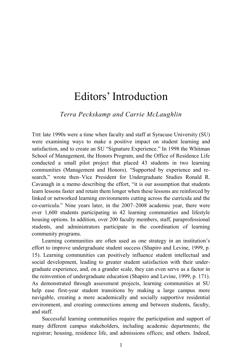# <span id="page-3-0"></span>Editors' Introduction

# *Terra Peckskamp and Carrie McLaughlin*

THE late 1990s were a time when faculty and staff at Syracuse University (SU) were examining ways to make a positive impact on student learning and satisfaction, and to create an SU "Signature Experience." In 1998 the Whitman School of Management, the Honors Program, and the Office of Residence Life conducted a small pilot project that placed 43 students in two learning communities (Management and Honors). "Supported by experience and research," wrote then–Vice President for Undergraduate Studies Ronald R. Cavanagh in a memo describing the effort, "it is our assumption that students learn lessons faster and retain them longer when these lessons are reinforced by linked or networked learning environments cutting across the curricula and the co-curricula." Nine years later, in the 2007–2008 academic year, there were over 1,600 students participating in 42 learning communities and lifestyle housing options. In addition, over 200 faculty members, staff, paraprofessional students, and administrators participate in the coordination of learning community programs.

Learning communities are often used as one strategy in an institution's effort to improve undergraduate student success (Shapiro and Levine, 1999, p. 15). Learning communities can positively influence student intellectual and social development, leading to greater student satisfaction with their undergraduate experience, and, on a grander scale, they can even serve as a factor in the reinvention of undergraduate education (Shapiro and Levine, 1999, p. 171). As demonstrated through assessment projects, learning communities at SU help ease first-year student transitions by making a large campus more navigable, creating a more academically and socially supportive residential environment, and creating connections among and between students, faculty, and staff.

Successful learning communities require the participation and support of many different campus stakeholders, including academic departments; the registrar; housing, residence life, and admissions offices; and others. Indeed,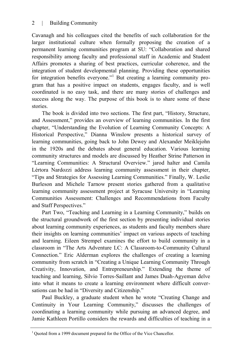Cavanagh and his colleagues cited the benefits of such collaboration for the larger institutional culture when formally proposing the creation of a permanent learning communities program at SU: "Collaboration and shared responsibility among faculty and professional staff in Academic and Student Affairs promotes a sharing of best practices, curricular coherence, and the integration of student developmental planning. Providing these opportunities for integration benefits everyone."<sup>1</sup> But creating a learning community program that has a positive impact on students, engages faculty, and is well coordinated is no easy task, and there are many stories of challenges and success along the way. The purpose of this book is to share some of these stories.

The book is divided into two sections. The first part, "History, Structure, and Assessment," provides an overview of learning communities. In the first chapter, "Understanding the Evolution of Learning Community Concepts: A Historical Perspective," Dianna Winslow presents a historical survey of learning communities, going back to John Dewey and Alexander Meiklejohn in the 1920s and the debates about general education. Various learning community structures and models are discussed by Heather Strine Patterson in ―Learning Communities: A Structural Overview.‖ jarod halter and Camila Lértora Nardozzi address learning community assessment in their chapter, "Tips and Strategies for Assessing Learning Communities." Finally, W. Leslie Burleson and Michele Tarnow present stories gathered from a qualitative learning community assessment project at Syracuse University in "Learning Communities Assessment: Challenges and Recommendations from Faculty and Staff Perspectives."

Part Two, "Teaching and Learning in a Learning Community," builds on the structural groundwork of the first section by presenting individual stories about learning community experiences, as students and faculty members share their insights on learning communities' impact on various aspects of teaching and learning. Eileen Strempel examines the effort to build community in a classroom in "The Arts Adventure LC: A Classroom-to-Community Cultural Connection." Eric Alderman explores the challenges of creating a learning community from scratch in "Creating a Unique Learning Community Through Creativity, Innovation, and Entrepreneurship." Extending the theme of teaching and learning, Silvio Torres-Saillant and James Duah-Agyeman delve into what it means to create a learning environment where difficult conversations can be had in "Diversity and Citizenship."

Paul Buckley, a graduate student when he wrote "Creating Change and Continuity in Your Learning Community," discusses the challenges of coordinating a learning community while pursuing an advanced degree, and Jamie Kathleen Portillo considers the rewards and difficulties of teaching in a

<sup>&</sup>lt;sup>1</sup> Quoted from a 1999 document prepared for the Office of the Vice Chancellor.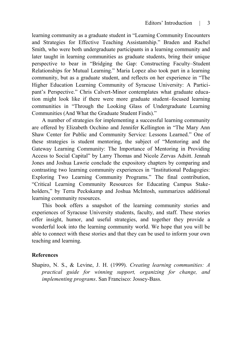learning community as a graduate student in "Learning Community Encounters" and Strategies for Effective Teaching Assistantship." Braden and Rachel Smith, who were both undergraduate participants in a learning community and later taught in learning communities as graduate students, bring their unique perspective to bear in "Bridging the Gap: Constructing Faculty–Student Relationships for Mutual Learning." Maria Lopez also took part in a learning community, but as a graduate student, and reflects on her experience in "The Higher Education Learning Community of Syracuse University: A Participant's Perspective." Chris Calvert-Minor contemplates what graduate education might look like if there were more graduate student–focused learning communities in "Through the Looking Glass of Undergraduate Learning Communities (And What the Graduate Student Finds)."

A number of strategies for implementing a successful learning community are offered by Elizabeth Occhino and Jennifer Kellington in "The Mary Ann Shaw Center for Public and Community Service: Lessons Learned." One of these strategies is student mentoring, the subject of "Mentoring and the Gateway Learning Community: The Importance of Mentoring in Providing Access to Social Capital" by Larry Thomas and Nicole Zervas Adsitt. Jennah Jones and Joshua Lawrie conclude the expository chapters by comparing and contrasting two learning community experiences in "Institutional Pedagogies: Exploring Two Learning Community Programs." The final contribution, ―Critical Learning Community Resources for Educating Campus Stakeholders," by Terra Peckskamp and Joshua McIntosh, summarizes additional learning community resources.

This book offers a snapshot of the learning community stories and experiences of Syracuse University students, faculty, and staff. These stories offer insight, humor, and useful strategies, and together they provide a wonderful look into the learning community world. We hope that you will be able to connect with these stories and that they can be used to inform your own teaching and learning.

#### **References**

Shapiro, N. S., & Levine, J. H. (1999). *Creating learning communities: A practical guide for winning support, organizing for change, and implementing programs*. San Francisco: Jossey-Bass.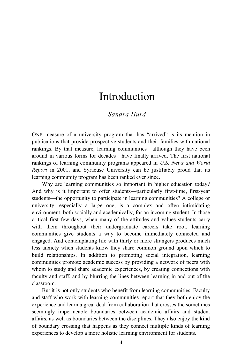# <span id="page-6-0"></span>Introduction

# *Sandra Hurd*

ONE measure of a university program that has "arrived" is its mention in publications that provide prospective students and their families with national rankings. By that measure, learning communities—although they have been around in various forms for decades—have finally arrived. The first national rankings of learning community programs appeared in *U.S. News and World Report* in 2001, and Syracuse University can be justifiably proud that its learning community program has been ranked ever since.

Why are learning communities so important in higher education today? And why is it important to offer students—particularly first-time, first-year students—the opportunity to participate in learning communities? A college or university, especially a large one, is a complex and often intimidating environment, both socially and academically, for an incoming student. In those critical first few days, when many of the attitudes and values students carry with them throughout their undergraduate careers take root, learning communities give students a way to become immediately connected and engaged. And contemplating life with thirty or more strangers produces much less anxiety when students know they share common ground upon which to build relationships. In addition to promoting social integration, learning communities promote academic success by providing a network of peers with whom to study and share academic experiences, by creating connections with faculty and staff, and by blurring the lines between learning in and out of the classroom.

But it is not only students who benefit from learning communities. Faculty and staff who work with learning communities report that they both enjoy the experience and learn a great deal from collaboration that crosses the sometimes seemingly impermeable boundaries between academic affairs and student affairs, as well as boundaries between the disciplines. They also enjoy the kind of boundary crossing that happens as they connect multiple kinds of learning experiences to develop a more holistic learning environment for students.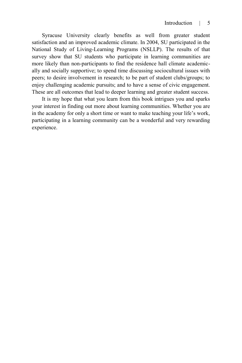Syracuse University clearly benefits as well from greater student satisfaction and an improved academic climate. In 2004, SU participated in the National Study of Living-Learning Programs (NSLLP). The results of that survey show that SU students who participate in learning communities are more likely than non-participants to find the residence hall climate academically and socially supportive; to spend time discussing sociocultural issues with peers; to desire involvement in research; to be part of student clubs/groups; to enjoy challenging academic pursuits; and to have a sense of civic engagement. These are all outcomes that lead to deeper learning and greater student success.

It is my hope that what you learn from this book intrigues you and sparks your interest in finding out more about learning communities. Whether you are in the academy for only a short time or want to make teaching your life's work, participating in a learning community can be a wonderful and very rewarding experience.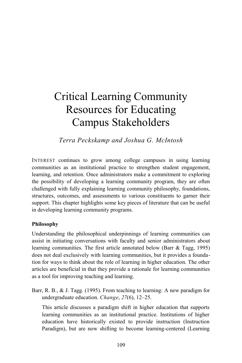# <span id="page-8-0"></span>Critical Learning Community Resources for Educating Campus Stakeholders

*Terra Peckskamp and Joshua G. McIntosh*

INTEREST continues to grow among college campuses in using learning communities as an institutional practice to strengthen student engagement, learning, and retention. Once administrators make a commitment to exploring the possibility of developing a learning community program, they are often challenged with fully explaining learning community philosophy, foundations, structures, outcomes, and assessments to various constituents to garner their support. This chapter highlights some key pieces of literature that can be useful in developing learning community programs.

#### **Philosophy**

Understanding the philosophical underpinnings of learning communities can assist in initiating conversations with faculty and senior administrators about learning communities. The first article annotated below (Barr & Tagg, 1995) does not deal exclusively with learning communities, but it provides a foundation for ways to think about the role of learning in higher education. The other articles are beneficial in that they provide a rationale for learning communities as a tool for improving teaching and learning.

Barr, R. B., & J. Tagg. (1995). From teaching to learning: A new paradigm for undergraduate education. *Change*, *27*(6), 12–25.

This article discusses a paradigm shift in higher education that supports learning communities as an institutional practice. Institutions of higher education have historically existed to provide instruction (Instruction Paradigm), but are now shifting to become learning-centered (Learning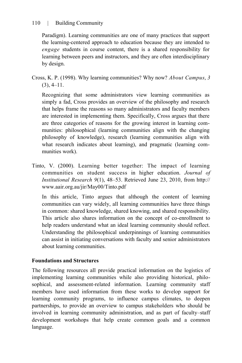Paradigm). Learning communities are one of many practices that support the learning-centered approach to education because they are intended to *engage* students in course content, there is a shared responsibility for learning between peers and instructors, and they are often interdisciplinary by design.

Cross, K. P. (1998). Why learning communities? Why now? *About Campus*, *3*  $(3), 4-11.$ 

Recognizing that some administrators view learning communities as simply a fad, Cross provides an overview of the philosophy and research that helps frame the reasons so many administrators and faculty members are interested in implementing them. Specifically, Cross argues that there are three categories of reasons for the growing interest in learning communities: philosophical (learning communities align with the changing philosophy of knowledge), research (learning communities align with what research indicates about learning), and pragmatic (learning communities work).

Tinto, V. (2000). Learning better together: The impact of learning communities on student success in higher education. *Journal of Institutional Research 9*(1), 48–53. Retrieved June 23, 2010, from http:// www.aair.org.au/jir/May00/Tinto.pdf

In this article, Tinto argues that although the content of learning communities can vary widely, all learning communities have three things in common: shared knowledge, shared knowing, and shared responsibility. This article also shares information on the concept of co-enrollment to help readers understand what an ideal learning community should reflect. Understanding the philosophical underpinnings of learning communities can assist in initiating conversations with faculty and senior administrators about learning communities.

### **Foundations and Structures**

The following resources all provide practical information on the logistics of implementing learning communities while also providing historical, philosophical, and assessment-related information. Learning community staff members have used information from these works to develop support for learning community programs, to influence campus climates, to deepen partnerships, to provide an overview to campus stakeholders who should be involved in learning community administration, and as part of faculty–staff development workshops that help create common goals and a common language.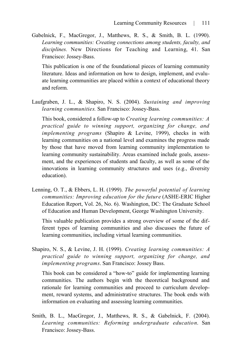Gabelnick, F., MacGregor, J., Matthews, R. S., & Smith, B. L. (1990). *Learning communities: Creating connections among students, faculty, and disciplines.* New Directions for Teaching and Learning, 41. San Francisco: Jossey-Bass.

This publication is one of the foundational pieces of learning community literature. Ideas and information on how to design, implement, and evaluate learning communities are placed within a context of educational theory and reform.

Laufgraben, J. L., & Shapiro, N. S. (2004). *Sustaining and improving learning communities.* San Francisco: Jossey-Bass.

This book, considered a follow-up to *Creating learning communities: A practical guide to winning support, organizing for change, and implementing programs* (Shapiro & Levine, 1999), checks in with learning communities on a national level and examines the progress made by those that have moved from learning community implementation to learning community sustainability. Areas examined include goals, assessment, and the experiences of students and faculty, as well as some of the innovations in learning community structures and uses (e.g., diversity education).

Lenning, O. T., & Ebbers, L. H. (1999). *The powerful potential of learning communities: Improving education for the future* (ASHE-ERIC Higher Education Report, Vol. 26, No. 6). Washington, DC: The Graduate School of Education and Human Development, George Washington University.

This valuable publication provides a strong overview of some of the different types of learning communities and also discusses the future of learning communities, including virtual learning communities.

Shapiro, N. S., & Levine, J. H. (1999). *Creating learning communities: A practical guide to winning support, organizing for change, and implementing programs*. San Francisco: Jossey Bass.

This book can be considered a "how-to" guide for implementing learning communities. The authors begin with the theoretical background and rationale for learning communities and proceed to curriculum development, reward systems, and administrative structures. The book ends with information on evaluating and assessing learning communities.

Smith, B. L., MacGregor, J., Matthews, R. S., & Gabelnick, F. (2004). *Learning communities: Reforming undergraduate education*. San Francisco: Jossey-Bass.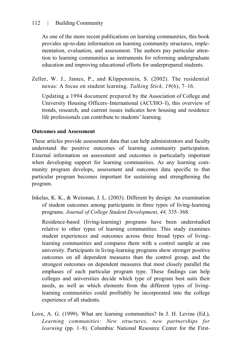As one of the more recent publications on learning communities, this book provides up-to-date information on learning community structures, implementation, evaluation, and assessment. The authors pay particular attention to learning communities as instruments for reforming undergraduate education and improving educational efforts for underprepared students.

Zeller, W. J., James, P., and Klippenstein, S. (2002). The residential nexus: A focus on student learning. *Talking Stick, 19*(6), 7–16.

Updating a 1994 document prepared by the Association of College and University Housing Officers–International (ACUHO–I), this overview of trends, research, and current issues indicates how housing and residence life professionals can contribute to students' learning.

### **Outcomes and Assessment**

These articles provide assessment data that can help administrators and faculty understand the positive outcomes of learning community participation. External information on assessment and outcomes is particularly important when developing support for learning communities. As any learning community program develops, assessment and outcomes data specific to that particular program becomes important for sustaining and strengthening the program.

Inkelas, K. K., & Weisman, J. L. (2003). Different by design: An examination of student outcomes among participants in three types of living-learning programs. *Journal of College Student Development*, *44,* 335–368.

Residence-based (living-learning) programs have been understudied relative to other types of learning communities. This study examines student experiences and outcomes across three broad types of livinglearning communities and compares them with a control sample at one university. Participants in living-learning programs show stronger positive outcomes on all dependent measures than the control group, and the strongest outcomes on dependent measures that most closely parallel the emphases of each particular program type. These findings can help colleges and universities decide which type of program best suits their needs, as well as which elements from the different types of livinglearning communities could profitably be incorporated into the college experience of all students.

Love, A. G. (1999). What are learning communities? In J. H. Levine (Ed.), *Learning communities: New structures, new partnerships for learning* (pp. 1–8). Columbia: National Resource Center for the First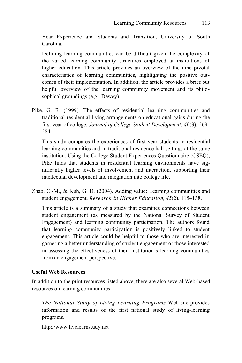Year Experience and Students and Transition, University of South Carolina.

Defining learning communities can be difficult given the complexity of the varied learning community structures employed at institutions of higher education. This article provides an overview of the nine pivotal characteristics of learning communities, highlighting the positive outcomes of their implementation. In addition, the article provides a brief but helpful overview of the learning community movement and its philosophical groundings (e.g., Dewey).

Pike, G. R. (1999). The effects of residential learning communities and traditional residential living arrangements on educational gains during the first year of college. *Journal of College Student Development*, *40*(3), 269– 284.

This study compares the experiences of first-year students in residential learning communities and in traditional residence hall settings at the same institution. Using the College Student Experiences Questionnaire (CSEQ), Pike finds that students in residential learning environments have significantly higher levels of involvement and interaction, supporting their intellectual development and integration into college life.

Zhao, C.-M., & Kuh, G. D. (2004). Adding value: Learning communities and student engagement. *Research in Higher Education, 45*(2), 115–138.

This article is a summary of a study that examines connections between student engagement (as measured by the National Survey of Student Engagement) and learning community participation. The authors found that learning community participation is positively linked to student engagement. This article could be helpful to those who are interested in garnering a better understanding of student engagement or those interested in assessing the effectiveness of their institution's learning communities from an engagement perspective.

#### **Useful Web Resources**

In addition to the print resources listed above, there are also several Web-based resources on learning communities:

*The National Study of Living-Learning Programs* Web site provides information and results of the first national study of living-learning programs.

http://www.livelearnstudy.net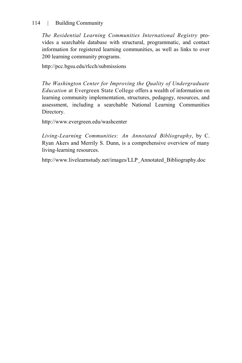*The Residential Learning Communities International Registry* provides a searchable database with structural, programmatic, and contact information for registered learning communities, as well as links to over 200 learning community programs.

http://pcc.bgsu.edu/rlcch/submissions

*The Washington Center for Improving the Quality of Undergraduate Education* at Evergreen State College offers a wealth of information on learning community implementation, structures, pedagogy, resources, and assessment, including a searchable National Learning Communities Directory.

http://www.evergreen.edu/washcenter

*Living-Learning Communities: An Annotated Bibliography*, by C. Ryan Akers and Merrily S. Dunn, is a comprehensive overview of many living-learning resources.

http://www.livelearnstudy.net/images/LLP\_Annotated\_Bibliography.doc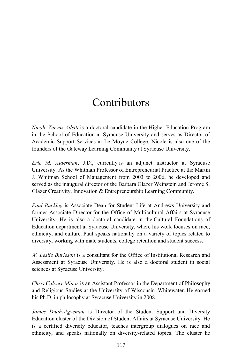# **Contributors**

<span id="page-14-0"></span>*Nicole Zervas Adsitt* is a doctoral candidate in the Higher Education Program in the School of Education at Syracuse University and serves as Director of Academic Support Services at Le Moyne College. Nicole is also one of the founders of the Gateway Learning Community at Syracuse University.

*Eric M. Alderman*, J.D., currently is an adjunct instructor at Syracuse University. As the Whitman Professor of Entrepreneurial Practice at the Martin J. Whitman School of Management from 2003 to 2006, he developed and served as the inaugural director of the Barbara Glazer Weinstein and Jerome S. Glazer Creativity, Innovation & Entrepreneurship Learning Community.

*Paul Buckley* is Associate Dean for Student Life at Andrews University and former Associate Director for the Office of Multicultural Affairs at Syracuse University. He is also a doctoral candidate in the Cultural Foundations of Education department at Syracuse University, where his work focuses on race, ethnicity, and culture. Paul speaks nationally on a variety of topics related to diversity, working with male students, college retention and student success.

*W. Leslie Burleson* is a consultant for the Office of Institutional Research and Assessment at Syracuse University. He is also a doctoral student in social sciences at Syracuse University.

*Chris Calvert-Minor* is an Assistant Professor in the Department of Philosophy and Religious Studies at the University of Wisconsin–Whitewater. He earned his Ph.D. in philosophy at Syracuse University in 2008.

*James Duah-Agyeman* is Director of the Student Support and Diversity Education cluster of the Division of Student Affairs at Syracuse University. He is a certified diversity educator, teaches intergroup dialogues on race and ethnicity, and speaks nationally on diversity-related topics. The cluster he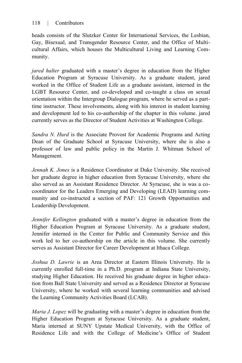heads consists of the Slutzker Center for International Services, the Lesbian, Gay, Bisexual, and Transgender Resource Center, and the Office of Multicultural Affairs, which houses the Multicultural Living and Learning Community.

*jared halter* graduated with a master's degree in education from the Higher Education Program at Syracuse University. As a graduate student, jared worked in the Office of Student Life as a graduate assistant, interned in the LGBT Resource Center, and co-developed and co-taught a class on sexual orientation within the Intergroup Dialogue program, where he served as a parttime instructor. These involvements, along with his interest in student learning and development led to his co-authorship of the chapter in this volume. jared currently serves as the Director of Student Activities at Washington College.

*Sandra N. Hurd* is the Associate Provost for Academic Programs and Acting Dean of the Graduate School at Syracuse University, where she is also a professor of law and public policy in the Martin J. Whitman School of Management.

*Jennah K. Jones* is a Residence Coordinator at Duke University. She received her graduate degree in higher education from Syracuse University, where she also served as an Assistant Residence Director. At Syracuse, she is was a cocoordinator for the Leaders Emerging and Developing (LEAD) learning community and co-instructed a section of PAF: 121 Growth Opportunities and Leadership Development.

*Jennifer Kellington* graduated with a master's degree in education from the Higher Education Program at Syracuse University. As a graduate student, Jennifer interned in the Center for Public and Community Service and this work led to her co-authorship on the article in this volume. She currently serves as Assistant Director for Career Development at Ithaca College.

*Joshua D. Lawrie* is an Area Director at Eastern Illinois University. He is currently enrolled full-time in a Ph.D. program at Indiana State University, studying Higher Education. He received his graduate degree in higher education from Ball State University and served as a Residence Director at Syracuse University, where he worked with several learning communities and advised the Learning Community Activities Board (LCAB).

*Maria J. Lopez* will be graduating with a master's degree in education from the Higher Education Program at Syracuse University. As a graduate student, Maria interned at SUNY Upstate Medical University, with the Office of Residence Life and with the College of Medicine's Office of Student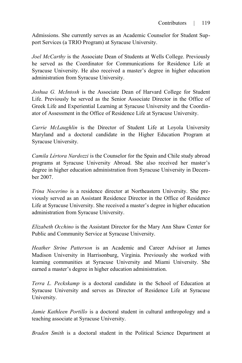Admissions. She currently serves as an Academic Counselor for Student Support Services (a TRIO Program) at Syracuse University.

*Joel McCarthy* is the Associate Dean of Students at Wells College. Previously he served as the Coordinator for Communications for Residence Life at Syracuse University. He also received a master's degree in higher education administration from Syracuse University.

*Joshua G. McIntosh* is the Associate Dean of Harvard College for Student Life. Previously he served as the Senior Associate Director in the Office of Greek Life and Experiential Learning at Syracuse University and the Coordinator of Assessment in the Office of Residence Life at Syracuse University.

*Carrie McLaughlin* is the Director of Student Life at Loyola University Maryland and a doctoral candidate in the Higher Education Program at Syracuse University.

*Camila Lértora Nardozzi* is the Counselor for the Spain and Chile study abroad programs at Syracuse University Abroad. She also received her master's degree in higher education administration from Syracuse University in December 2007.

*Trina Nocerino* is a residence director at Northeastern University. She previously served as an Assistant Residence Director in the Office of Residence Life at Syracuse University. She received a master's degree in higher education administration from Syracuse University.

*Elizabeth Occhino* is the Assistant Director for the Mary Ann Shaw Center for Public and Community Service at Syracuse University.

*Heather Strine Patterson* is an Academic and Career Advisor at James Madison University in Harrisonburg, Virginia. Previously she worked with learning communities at Syracuse University and Miami University. She earned a master's degree in higher education administration.

*Terra L. Peckskamp* is a doctoral candidate in the School of Education at Syracuse University and serves as Director of Residence Life at Syracuse University.

*Jamie Kathleen Portillo* is a doctoral student in cultural anthropology and a teaching associate at Syracuse University.

*Braden Smith* is a doctoral student in the Political Science Department at